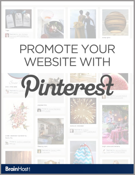

# PROMOTE YOUR **WEBSITE WITH**



zweet watercolor (lustration by Sunny Gu

Pinned by Jo.Anin **B** anto Art



or paintings and

Ralaxing room tephned by Claim V onto starburst chandeler Reposed by Evrops

Szenbaum priz Lights w



bright colors and lanterns

A Replyied by January Memor Diets onto In the Cardier

**BrainHost**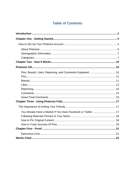# **Table of Contents**

| Pins, Boards, Likes, Repinning, and Comments Explained  10    |  |
|---------------------------------------------------------------|--|
|                                                               |  |
|                                                               |  |
|                                                               |  |
|                                                               |  |
|                                                               |  |
|                                                               |  |
|                                                               |  |
|                                                               |  |
| You Already Have a Market If You Have Facebook or Twitter  17 |  |
|                                                               |  |
|                                                               |  |
|                                                               |  |
|                                                               |  |
|                                                               |  |
|                                                               |  |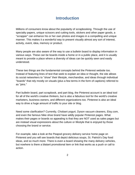## **Introduction**

<span id="page-2-0"></span>Millions of consumers know about the popularity of scrapbooking. Through the use of specialty papers, unique scissors and cutting tools, stickers and other paper goods, a "scrapper" can enhance his or her own photos and images in a compelling and unique manner. This makes it a wonderful way to present visually almost any sort of interest, activity, event, idea, memory or product.

Many people are also aware of the way to use a bulletin board to display information in various ways. These can be boards inside a home or in a public place, and it is usually meant to provide a place where a diversity of ideas can be quickly seen and easily understood.

These two things are the fundamental concepts behind the Pinterest website too. Instead of featuring lines of text that seek to explain an idea or thought, the site allows its social networkers to "show" their lifestyle, merchandise, and ideas through individual "boards" that rely mostly on visuals (plus a few terms in the form of captions) referred to as "pins."

Part bulletin board, part scrapbook, and part blog, the Pinterest account is an ideal tool for all of the world's creative thinkers, but is also a fabulous tool for the world's creative marketers, business owners, and different organizations too. Pinterest is also an ideal way to drive a huge amount of traffic to your site or blog.

Need some clarification? Currently, Chobani yogurt, Dyson vacuum cleaners, Etsy.com, and even the famous Nike shoe brand have wildly popular Pinterest pages. What makes their pages or boards so appealing is that they are NOT used as sales pages but are instead visual expressions about the culture or lifestyle that is enjoyed by those choosing the brand or service.

For example, take a look at the Peapod grocery delivery service home page on Pinterest and you will see boards that depict delicious soups, St. Patrick's Day food ideas, and so much more. There is even a board showing the many delivery vehicles, but nowhere is there a blatant promotional item or link that works as a push or call to action.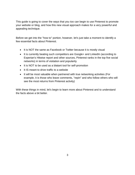This guide is going to cover the ways that you too can begin to use Pinterest to promote your website or blog, and how this new visual approach makes for a very powerful and appealing technique.

Before we get into the "how to" portion, however, let's just take a moment to identify a few essential facts about Pinterest.

- It is NOT the same as Facebook or Twitter because it is mostly visual
- It is currently beating such competitors are Google+ and LinkedIn (according to Experian's Hitwise report and other sources, Pinterest ranks in the top five social networks) in terms of visitation and popularity
- It is NOT to be used as a blatant tool for self-promotion
- It IS meant to drive traffic to a website
- It will be most valuable when partnered with true networking activities (For example, it is those who leave comments, "repin" and who follow others who will see the most returns from Pinterest activity)

With these things in mind, let's begin to learn more about Pinterest and to understand the facts above a bit better.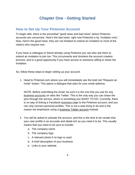## **Chapter One - Getting Started**

#### <span id="page-4-1"></span><span id="page-4-0"></span>**How to Set Up Your Pinterest Account**

To begin with, there is the proverbial "good news and bad news" where Pinterest accounts are concerned. Here's the bad news: right now Pinterest is by "invitation only." Now, here's the good news: they are not hesitant to extend an invitation to most of the visitors who request one.

If you have a colleague or friend already using Pinterest you can also ask them to extend an invitation to join too. This circumvents and shortens the account creation process, and is a good opportunity if you have access to someone willing to share the invitation.

So, follow these steps to begin setting up your account:

1. Head to Pinterest.com where you will immediately see the bold red "Request an Invite" button. This opens a dialogue that asks for your email address.

NOTE: Before submitting the email, be sure it is the one that you use for any business accounts on sites like Twitter. This is the only way you can share the pins through the service, which is something you WANT TO DO. Currently, there is no way of linking a Facebook business page to the Pinterest account, and you can only connect personal profiles. This is not a wise thing to do and is the reason we emphasize using a business Twitter account instead.

- 2. You will be asked to activate the account, and this is the time to be certain that your user profile is as accurate and detail-rich as you need it to be. This usually means that you need to be sure to include:
	- a. The company name
	- b. The company logo
	- c. A relevant photo if no logo is used
	- d. A brief description of your business
	- e. Links to your website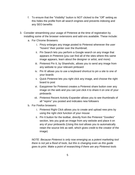- f. To ensure that the "Visibility" button is NOT clicked to the "Off" setting as this hides the profile from all search engines and prevents indexing and any SEO benefits
- 3. Consider streamlining your usage of Pinterest at the time of registration by installing some of the browser extensions and add-ons available. These include:
	- a. For Chrome Browsers:
		- i. Pinzy enlarges any image posted to Pinterest whenever the user "hovers" their pointer over the thumbnail;
		- ii. Pin Search lets you perform a Google search on any image that appears in Pinterest (you can find all of the sites where this same image appears, learn about the designer or artist, and more)
		- iii. Pinterest Pin It, by Shareholic, allows you to send any image from any website to your relevant pinboard
		- iv. Pin It! allows you to use a keyboard shortcut to pin a site to one of your boards
		- v. Quick Pinterest lets you right click any image, and choose the right board to post
		- vi. Easypinner for Pinterest creates a Pinterest share button over any image on the web and you can just click it to share it on one of your pinboards
		- vii. Pinterest Recent Activity Expander allows you to see thumbnails of all "repins" you posted and indicates new followers
	- b. For Firefox browsers:
		- i. Pinterest Right Click allows you to create and upload new pins by using the right click function of your mouse
		- ii. Pin It button for the toolbar, directly from the Pinterest "Goodies" section, lets you grab an image from any website and place it on any of your pinboards (Using this tool allows you to automatically retain the source link as well, which gives credit to the creator of the image)

*NOTE: Because Pinterest is only now emerging as a potent marketing tool there is not yet a flood of tools, but this is changing even as this guide goes to print. Make a point of researching if there are any Pinterest tools*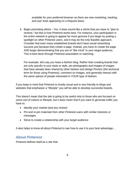*available for your preferred browser as there are new marketing, tracking, and user tools appearing on a frequent basis.*

4. Begin promoting others - Yes, it does sound like a cliché that you have to "give to receive," but this is how Pinterest works best. For instance, your participation in the entire network is going to appear far more genuine if you begin by putting a spotlight on other Pinterest users, and it may be the only feasible approach. Consider that even many established brands don't have social networking success just because they create a page. Instead, you have to create the page AND begin demonstrating that you are of "like mind" to your target audience. This is best done through Pinterest association or repinning.

For example, let's say you have a fashion blog. Rather than creating boards that are only specific to your taste or style, pin photographs and images of images that have already been shared by other fashion and design Pinners (the technical term for those using Pinterest), comment on images, and generally interact with the same sphere of people interested in YOUR type of fashion.

If you keep in mind that Pinterest is mostly visual and is very friendly to blogs and websites that emphasize a "lifestyle" you will be able to develop successful boards.

This doesn't mean that the site is going to be useful only to those who are focused on some sort of culture or lifestyle, but it does mean that if you want to generate traffic you have to:

- Identify your market (and any niches)
- Pin and re-pin materials from other Pinterest users with similar interests or messages
- Strive to create a relationship with your target audience

It also helps to know all about Pinterest to see how to use it to your best advantage...

## <span id="page-6-0"></span>**About Pinterest**

Pinterest defines itself as a site that: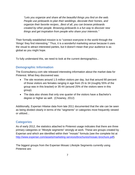*"Lets you organize and share all the beautiful things you find on the web. People use pinboards to plan their weddings, decorate their homes, and organize their favorite recipes...Best of all, you can browse pinboards created by other people. Browsing pinboards is a fun way to discover new things and get inspiration from people who share your interests."*

Their formally established mission is to "connect everyone in the world through the 'things' they find interesting." Thus, it is a wonderful marketing venue because it uses the visual to attract interested parties, but it doesn't mean that your audience is as global as you might hope.

To fully understand this, we need to look at the current demographics...

#### <span id="page-7-0"></span>**Demographic Information**

The Econsultancy.com site released interesting information about the market data for Pinterest. What they discovered was:

- The site receives around 1.5 million visitors per day, but that around 80 percent of those visitors are females ranging in age from 25 to 34 (roughly 55% of the group was in this bracket) or 35-44 (around 25% of the visitors were in this group).
- The data also shows that only one quarter of the visitors have a Bachelor's degree or higher as well. (Chowney, 2012)

Additionally, Experian Hitwise data from late 2011 documented that the site can be seen as being divided clearly in terms of the "segments" or categories most frequently viewed or utilized...

#### <span id="page-7-1"></span>**Categories**

As of early 2012, the statistics attached to Pinterest usage indicates that there are three primary categories or "lifestyle segments" strongly at work. These are groups created by Experian and which are identified within their "mosaic" formula (see the complete list at [http://www.experian.com/assets/marketing-services/brochures/mosaic-brochure.pdf\)](http://www.experian.com/assets/marketing-services/brochures/mosaic-brochure.pdf).

The biggest groups from the Experian Mosaic Lifestyle Segments currently using Pinterest are: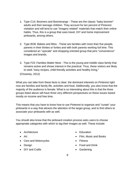- 1. Type C14: Boomers and Boomerangs These are the classic "baby boomer" adults and their teenage children. They account for ten percent of Pinterest visitation and will tend to use "imagery related" materials that match their online habits. Thus, this is a group that uses travel, DIY and home improvement pinboards, among others.
- 2. Type BO8: Babies and Bliss These are families with more than five people, parents in their thirties or forties and with both parents working full time. This considered an "upscale" and shopping oriented group that pins "convenience" images and brands.
- 3. Type F23: Families Matter Most This is the young and middle class family that remains active and shows interest in the practical. Thus, these visitors are likely to seek "easy recipes, child-friendly activities and healthy living."

(Chowney, 2012)

What you can take from these facts is clear: the dominant interests on Pinterest right now are families and family life, activities and food. Additionally, you also know that the majority of the audience is female. What is so interesting about this is that the three groups listed above will have three very different perspectives on these issues based mostly on income and free time.

This means that you have to know how to use Pinterest to organize and "curate" your pinboards in a way that attracts the attention of the target group, and to find others to associate your pinboards with as well.

You should also know that the pinboard creation process asks users to choose appropriate categories with which to tag their images as well. These include:

- Architecture
- Art
- Cars and Motorcycles
- Design
- DIY and Crafts
- Education
- Film, Music and Books
- Fitness
- Food and Drink
- Gardening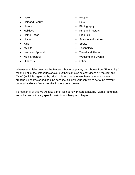- Geek
- Hair and Beauty
- History
- Holidays
- Home Decor
- Humor
- Kids
- My Life
- Women's Apparel
- Men's Apparel
- Outdoors
- People
- Pets
- Photography
- Print and Posters
- Products
- Science and Nature
- Sports
- Technology
- Travel and Places
- Wedding and Events
- Other

Whenever a visitor reaches the Pinterest home page they can choose from "Everything" meaning all of the categories above, but they can also select "Videos," "Popular" and "Gifts" (which is organized by price). It is important to use these categories when creating pinboards or adding pins because it allows your content to be found by your targeted audience. We cover this in more detail below.

To master all of this we will take a brief look at how Pinterest actually "works," and then we will move on to very specific tasks in a subsequent chapter...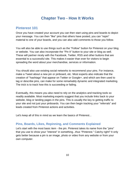## **Chapter Two - How It Works**

### <span id="page-10-1"></span><span id="page-10-0"></span>**Pinterest 101**

Once you have created your account you can then start using pins and boards to depict your message. You can then "like" pins that others have posted, you can "repin" material to one of your boards, and you can also add comments to those you follow.

You will also be able to use things such as the "Follow" button for Pinterest on your blog or website. You can also incorporate the "Pin It" button to your site or blog as well. These will partner nicely with the Facebook, Twitter, RSS and other buttons that are essential to a successful site. This makes it easier than ever for visitors to begin spreading the word about your merchandise, services or information.

You should also use existing social networks to recommend your pins. For instance, make a Tweet about a new pin or pinboard, etc. Most experts also indicate that the creation of "hashtags" that appear on Twitter or Google+, and which are then used to tag or describe pins, can make for some remarkably dynamic and integrated marketing. The trick is to track how this is succeeding or failing.

Eventually, this means you also need to rely on the analytics and tracking tools so readily available. Most marketing experts suggest that you include links back to your website, blog or landing pages in the pins. This is usually the key to getting traffic to your site and not just your pinboards. You can then begin tracking your "referrals" and leads created from Pinterest actions and activities.

Let's keep all of this in mind as we learn the basics of Pinterest...

#### <span id="page-10-2"></span>**Pins, Boards, Likes, Repinning, and Comments Explained**

Let's start with the most basic item - the pin. Pinterest takes its name from the "pins" that you use to show your "interest" in something...thus "Pinterest." Catchy right? It only gets better because a pin is an image, photo or video from any website or from your own computer.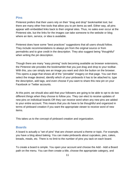#### <span id="page-11-0"></span>**Pins**

Pinterest prefers that their users rely on their "drag and drop" bookmarklet tool, but there are many other free tools that allow you to pin items as well. Either way, all pins appear with embedded links back to their original sites. Thus, no sales ever occur at the Pinterest site, but the links for the images can take someone to the website or blog where an item, service, or idea is available.

Pinterest does have some "best practices" suggestions that all users should follow. They include recommendations to always pin from the original source or from permalinks and to give credit in the description. They also suggest being "thoughtful" when writing the pin description.

Though there are many "easy pinning" tools becoming available as browser extensions, the Pinterest site provides the bookmarklet that you just drag and drop to your toolbar. With this, you can simply see an image you want and click the button on the browser. This opens a page that shows all of the "pinnable" imagery on that page. You can then select the image desired, identify which of your pinboards it has to be attached to, type the description, add tags, and even choose if you want to share this new pin on your Facebook or Twitter accounts.

At this point, we should also add that your followers are going to be able to opt to do two different things when they choose to follow you. They can elect to receive updates of new pins on individual boards OR they can receive word when any new pins are added to your entire account. This means that you do have to be thoughtful and organized in terms of pinboard creation if you want the appropriate viewer to receive word of new items.

This takes us to the concept of pinboard creation and organization.

#### <span id="page-11-1"></span>**Boards**

A board is actually a "set of pins" that are chosen around a theme or topic. For example, you have a blog about baking. You can make pinboards about cupcakes, pies, cakes, breads, meals, etc. There is no limit to the number of pins you tack on each board.

To create a board is simple. You open your account and choose the Add - Add a Board path on the menu. You can then create a title, choose the appropriate category, and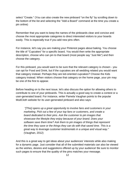select "Create." (You can also create the new pinboard "on the fly" by scrolling down to the bottom of the list and selecting the "Add a Board" command at the time you create a pin online)

Remember that you want to keep the names of the pinboards clear and concise and choose the most appropriate categories to direct interested visitors to your boards easily. This is especially true if you add new pins often.

For instance, let's say you are making your Pinterest pages about baking. You choose the title of "Cupcakes" for a specific board. You would then write the appropriate description, choose who can pin to that board (most people say "Just Me") and then choose the category.

For this pinboard, you would want to be sure that the relevant category is chosen - you can opt for Food and Drink, but if the cupcakes are all wedding related you would want that category instead. Perhaps they are kid-oriented cupcakes? Choose the Kids category instead. When visitors choose that category on the home page, your pin may be one of the first to appear.

Before heading on to the next issue, let's also discuss the option for allowing others to contribute to one of your pinboards. This is actually a good way to create a contest or a user-generated board. For instance, writer Pamela Vaughan points to the popular ModCloth website for its user-generated pinboard and also says:

*"[This] opens up a great opportunity to involve fans and customers in your marketing. Pick out a few of your top fans or customers, and create a board dedicated to their pins. Ask the customer to pin images that showcase the* lifestyle *they enjoy because of your brand. Does your software save them time? Ask them to pin images of things that represent the time they save or the things they can do with that saved time. This is a great way to leverage customer testimonials in a unique and visual way."* (Vaughan, 2012)

And this is a great way to get ideas about your audiences' interests while also making for a dynamic page. Just consider that all of the submitted materials can also be viewed as the wishes, desires and suggestions offered up by your audience! Be sure to monitor such pages to ensure that the quality of the pins matches your message.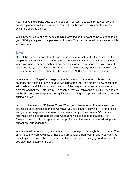Many marketing experts advocate the use of a "contest" that asks Pinterest users to create a pinboard of their own and send a link, but be sure that your contest works within the site's guidelines.

While providing a venue for people to pin interesting and relevant items is a good tactic, you MUST participate in the pinboards of others. This can be done in a few ways which we cover next...

#### <span id="page-13-0"></span>**Likes**

One of the primary areas of confusion for those new to Pinterest is the "Like" and the "Repin" option. Many cannot understand the difference. In short, here is an explanation: when you visit someone's pinboard and see a pin or an entire board that you really like or appreciate, you can hit the "Like" button. This automatically adds that image or board to your profile's "Likes" section, but the images do NOT appear on your boards.

When you opt to "Repin" an image, it provides you with the means of choosing a category and adding it to one or your own pinboards. You can create a new description, add hashtags and links, but the source link of the image is automatically transferred from the original site. This is why it is essential that you follow the "Pin Etiquette" posted on the site because it explains the significance of giving appropriate credit and using the original source.

Is "Liking" the same as "Following"? No. When you follow another Pinterest user, you are asking to be notified in one of two ways: you are either "Following All" of their pins and get a message whenever new pins appear on any of their boards OR you are following a single board and get word when a new pin is added to that one. The Pinterest users you follow appear on your profile, and the users that are following you appear on your pages too.

When you follow someone, you can also alert them to pins that might be of interest. You simply use the drop down list of those you are following from your profile. You can type the @ symbol followed by their name and this opens up a messaging window that lets you give them details of the pin.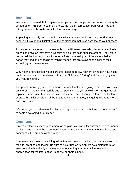#### <span id="page-14-0"></span>**Repinning**

We have just learned that a repin is when you add an image you find while perusing the pinboards on Pinterest. You should know that the Pinterest user from whom you are taking the repin also gets credit for this on your page.

Repinning is actually one of the first activities that you should be doing on Pinterest because it is a strong illustration of the participation that is so essential to your success.

For instance, let's return to the example of the Pinterest user who places an emphasis on baking because they have a website or blog that sells supplies or food. They would be well advised to begin their Pinterest efforts by perusing all of the various baking pages they find and choosing to "repin" images that are relevant or similar to their esthetic, goal, message, etc.

Why? In the next section we explore the reason to follow relevant pinners in your niche, but for now you should understand that your "following," "liking" and "repinning" gives you "return interest."

The people who enjoy a set of pinboards at one location are going to see that you have an interest in the same materials and will pay a visit to you as well. Don't forget that all repinned items have their source links and credit. Thus, if you get a few of the Pinterest users with similar or related pinboards to repin your images, it is going to lead to more and more traffic.

Of course, you can also use the classic blogging and forum technique of "commenting" to begin developing an audience.

#### <span id="page-14-1"></span>**Comments**

Pinterest allows its users to comment on all pins. You can either hover over a thumbnail to view it and engage the "Comment" button or you can view the image in full size and comment in the area below the image.

Comments are great for involving fellow Pinterest users in a dialogue, but are also good tools for creating a following. Be sure to never use any comment as a blatant form of self-promotion but simply as a way of demonstrating your mutual interest and appreciation for the information, imagery, or photo pinned.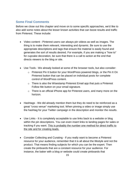## <span id="page-15-0"></span>**Some Final Comments**

Before we close out this chapter and move on to some specific approaches, we'd like to also add some notes about the lesser known activities that can boost results and traffic from Pinterest. These include:

- Video content Pinterest users can always pin videos as well as images. The thing is to make them relevant, interesting and dynamic. Be sure to use the appropriate descriptions and tags that ensure the material is easily found and generates the sort of results desired. For example, if you are making a "how to" for cupcake decoration, be sure that there is a call to action at the end that directs viewers to the blog or site.
- Use Tools We already looked at some of the browser tools, but also consider:
	- o Pinterest Pin It button for your WordPress powered blogs, or the Pin It On Pinterest button that can be placed on individual posts for complete control of WordPress content.
	- o There is also the Wisestamp Pinterest Email app that puts a Pinterest Follow Me button on your email signature.
	- o There is an official iPhone app for Pinterest users, and many more on the horizon.
- Hashtags We did already mention them but they do need to be reinforced as a great "cross venue" marketing tool. When pinning a video or image simply use the hashtag for your Twitter campaign in the description and monitor the results.
- Use Links It is completely acceptable to use links back to a website or blog within the pin descriptions. You can even insert links to landing pages for sales or tracking if you want. This is probably the number one method for direct traffic to the site and for creating leads.
- Consider Collecting and Curating If you really want to become a Pinterest resource for your audience, remember that it is all about the lifestyle and not the product. That means finding subjects for which you can be the expert. Then create the pinboards that are a constant resource for your audience. For instance, the baker with a blog or website could create pinboards that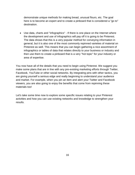demonstrate unique methods for making bread, unusual flours, etc. The goal here is to become an expert and to create a pinboard that is considered a "go to" destination.

 Use data, charts and "infographics" - If there is one place on the Internet where the development and use of infographics will pay off it is going to be Pinterest. The data shows that this is a very popular method for conveying information in general, but it is also one of the most commonly repinned varieties of material on Pinterest as well. This means that you can begin gathering a nice assortment of infographics or tables of data that relates directly to your business or industry and then use them to create a pinboard that is a very "hot topic" for your industry or area of expertise.

You now have all of the details that you need to begin using Pinterest. We suggest you make some plans that are in line with any pre-existing marketing efforts through Twitter, Facebook, YouTube or other social networks. By integrating pins with other tactics, you are giving yourself a serious edge and really beginning to understand your audience and market. For example, when you pin an item and alert your Twitter and Facebook viewers, you are also going to enjoy the benefits that come from repinning these materials too!

Let's take some time now to explore some specific issues relating to your Pinterest activities and how you can use existing networks and knowledge to strengthen your results.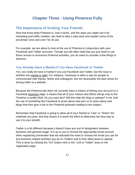## **Chapter Three - Using Pinterest Fully**

## <span id="page-17-1"></span><span id="page-17-0"></span>**The Importance of Inviting Your Friends**

Now that know what Pinterest is, how it works, and the ways you might use it for marketing and traffic creation, we need to take a step back and explain some of the proverbial "pros and cons" for its use.

For example, we are about to look at the use of Pinterest in conjunction with your Facebook and Twitter accounts. Though you will often read that you just need to use these venues to announce Pinterest activities, you do need to consider a few things in advance...

#### <span id="page-17-2"></span>**You Already Have a Market If You Have Facebook or Twitter**

Yes, you really do have a market if you use Facebook and Twitter, but the issue is whether the market is valid. For instance, Facebook is often a way for people to communicate with friends, family and colleagues, but not necessarily the best venue for driving traffic to a website.

Because the Pinterest site does not currently have a means of linking your account to a Facebook business page, it means that all of your notices and efforts will go only to the Timeline or profile Wall. Do you want this? Will this help the blog or website? If not, limit the use of something like Facebook to posts about new pins or to posts about new blogs that then give a link to the Pinterest pinboard relating to the subject.

Remember that Facebook is going to allow all of your friends to "Like" or "Share" the materials you post, and that means it is worth the effort to determine the best way to use it to your benefit.

Twitter is a bit different because it doesn't have any sort of designation between business and general usage. It is up to you to choose the appropriate email account when registering (remember that we indicated the need to choose the email you use for any business related activities you do on Twitter) and to then allow posts to appear. This is done by clicking the "On" button next to the "Link to Twitter" area on the registration page.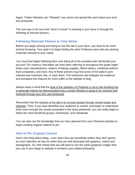Again, Twitter followers can "Retweet" your posts and spread the word about your pins and pinboards.

The next way to be sure that "word of mouth" is working in your favor is through the following of relevant pinners...

#### <span id="page-18-0"></span>**Following Relevant Pinners In Your Niche**

Before you begin pinning and trying to use the site in your favor, you have to do some tactical browsing. Your goal is to begin finding the other Pinterest users who are pinning materials relevant to your cause.

You must then begin following them and doing all of the activities that will benefit your account. For instance, that baker we have been referring to throughout this guide might follow oven manufacturers, makers of baking supplies, fellow bakers, cookbook authors, food companies, and more. Any of these pinners may find some of the baker's pins relevant and comment, like, or repin them. This enhances and enlarges the audience and increases the chances for more traffic to the website or blog.

Always keep in mind that the goal of the activities on Pinterest is not to sell anything but to generate interest by demonstrating that a certain lifestyle is going to be nurtured and fostered through your pins and pinboards.

Remember that the mission of the site is to connect people through shared tastes and interests. Thus, if you have identified your audience or market, and begin to understand them more through the visuals presented in the many pinboards, you can really begin to follow the most beneficial groups, businesses, and individuals.

You can also use the knowledge that you have gleaned from your Pinterest activities to begin creating original material to pin.

#### <span id="page-18-1"></span>**How to Pin Original Content**

Here's the thing about blogs...even when they are beautifully written they don't garner as much attention as they do when they are well illustrated with graphics, videos and photographs. So, that means that you will want to use the same gorgeous images that you use in your blogs or website to enhance your related pinboards.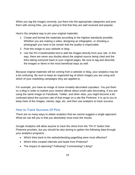When you tag the images correctly, put them into the appropriate categories and post them with strong links, you are going to find that they are well received and popular.

Here's the simplest way to pin your original materials:

- 1. Create and format the materials according to the highest standards possible. Whether you are making a video, designing an infographic, or shooting a photograph you have to be certain that the quality is impeccable.
- 2. Post this image to your website or blog.
- 3. Use the Pin It bookmarklet tool to add the images directly from your site. In this way, there are never any doubts about the original source being cited and the links taking everyone back to your original pages. Be sure to tag and describe the images or items in the most beneficial ways as well.

Because original materials will be coming from a website or blog, your analytics may be a bit confusing. Be sure to keep an organized log of which images you are using and which of your marketing campaigns they are applied to.

For example, you have an image of some ornately decorated cupcakes. You put them on a blog in order to market your newest eBook about small cake decorating. If you are using the same image on Facebook, Twitter, and other sites, you might become a bit confused about the success rate of that image on a site like Pinterest. It is up to you to keep track of the images, names, tags, etc, and then use analytics to track success.

#### <span id="page-19-0"></span>**How to Track Success Of Pins**

There are so many ways to obtain analytics that we cannot suggest a single approach. What we can tell you is that you absolutely must track the results.

Google Analytics will allow anyone to track the clicks from the "Pin It" button that Pinterest provides, but you should be also aiming to gather the following data through your analytics programs:

- Which links back to the website/landing page/blog were most effective?
- Which links created referrals and leads from Pinterest?
- The impact of repinning? Following? Commenting? Liking?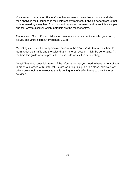You can also turn to the "Pinclout" site that lets users create free accounts and which then analyzes their influence in the Pinterest environment. It gives a general score that is determined by everything from pins and repins to comments and more. It is a simple and fast way to discover which materials are the most effective.

There is also "Pinpuff" which tells you "How much your account is worth...your reach, activity and virility scores." (Vaughan, 2012).

Marketing experts will also appreciate access to the "Pintics" site that allows them to learn about their traffic and the sales that a Pinterest account might be generating. (At the time this guide went to press, the Pintics site was still in beta testing)

Okay! That about does it in terms of the information that you need to have in front of you in order to succeed with Pinterest. Before we bring this guide to a close, however, we'll take a quick look at one website that is getting tons of traffic thanks to their Pinterest activities...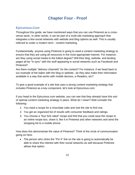# **Chapter Four - Proof**

## <span id="page-21-1"></span><span id="page-21-0"></span>**Epicurious.Com**

Throughout this guide, we have mentioned ways that you can use Pinterest as a crossvenue tactic. In other words, it can be part of a multi-site marketing approach that integrates a few social networks with website and blog options as well. This is usually referred to under a modern term - content marketing.

Fundamentally, anyone using Pinterest is going to need a content marketing strategy to ensure that they are using all resources in the most appropriate manner. For instance, are they using social media to the fullest degree? Will their blog, website, and landing pages all be "in sync" with the stuff appearing in social networks such as Facebook and Pinterest?

Are there multiple "delivery channels" for the content? For instance, if we head back to our example of the baker with the blog or website...do they also make their information available in a way that works with mobile devices, e-Readers, etc?

To give a good example of a site that uses a strong content marketing strategy that includes Pinterest as a key component, let's look at Epicurious.com.

If you head to the Epicurious.com website, you can see that they already have this sort of optimal content marketing strategy in place. What do I mean? Well consider the following:

- 1. You need a recipe for a chocolate cake and visit the site to find one.
- 2. You get an organized list of results with consumer feedback and ratings.
- 3. You choose a "four fork rated" recipe and find that you could save the recipe to an online recipe box, share it, like it in Pinterest and other networks and send the shopping list to a mobile phone.

How does this demonstrate the value of Pinterest? Think of the circle of communication going on here.

• The person who clicks the "Pin It" link on the site is going to automatically be able to share this interest with their social networks as well because Pinterest allows that option.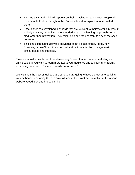- This means that the link will appear on their Timeline or as a Tweet. People will then be able to click through to the Pinterest board to explore what is posted there.
- If the pinner has developed pinboards that are relevant to their viewer's interest it is likely that they will follow the embedded inks to the landing page, website or blog for further information. They might also add their content to any of the social networks.
- This single pin might allow the individual to get a batch of new leads, new followers, or new "likes" that continually attract the attention of anyone with similar tastes and interests.

Pinterest is just a new facet of the developing "wheel" that is modern marketing and online sales. If you want to learn more about your audience and to begin dramatically expanding your reach, Pinterest boards are a "must."

We wish you the best of luck and are sure you are going to have a great time building your pinboards and using them to drive all kinds of relevant and valuable traffic to your website! Good luck and happy pinning!